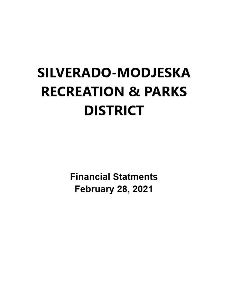# **SILVERADO-MODJESKA RECREATION & PARKS DISTRICT**

**Financial Statments February 28, 2021**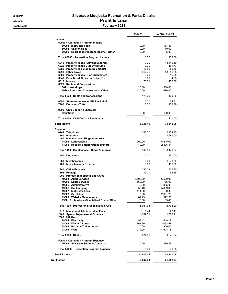#### 8:26 PM Silverado Modjeska Recreation & Parks District 03/10/21 **Profit & Loss** Eash Basis **February 2021**

|                                                                              | Feb 21          | Jul '20 - Feb 21 |
|------------------------------------------------------------------------------|-----------------|------------------|
| Income                                                                       |                 |                  |
| 60000 · Recreation Program Income                                            |                 |                  |
| 60001 · Instructor Fees                                                      | 0.00            | 184.80           |
| 60005 · Sticker Sales                                                        | 0.00            | 70.00            |
| 60000 · Recreation Program Income - Other                                    | 0.00            | 5.00             |
| Total 60000 · Recreation Program Income                                      | 0.00            | 259.80           |
| 6210 · Property Taxes - Current Secured                                      | 0.00            | 13,646.10        |
| 6220 · Property Taxes-Curr Unsecured                                         | 0.00            | 561.77           |
| 6280 · Property Tax-Curr Supplemental                                        | 17.89           | 280.40           |
| 6290 Other Taxes                                                             | 8,012.76        | 58,386.68        |
| 6300 · Property Taxes-Prior Supplement                                       | 0.00            | 16.95            |
| 6540 · Penalties & Costs on Deling Tax                                       | 0.00            | 4.38             |
| 6610 · Interest                                                              | 75.81           | 409.77           |
| 6620 · Rents and Concessions                                                 |                 |                  |
| $6621 \cdot W$ eddings                                                       | 0.00            | $-900.00$        |
| 6620 · Rents and Concessions - Other                                         | 120.00          | 470.00           |
| Total 6620 · Rents and Concessions                                           | 120.00          | $-430.00$        |
| 6690 · State-Homeowners PR Tax Relief                                        | 0.00            | 54.31            |
| 7960 Donations/Gifts                                                         | 0.00            | 233.89           |
| 9000 · Chili Cookoff Fundraiser<br><b>Donations</b>                          | 0.00            | 120.00           |
| Total 9000 · Chili Cookoff Fundraiser                                        | 0.00            | 120.00           |
| <b>Total Income</b>                                                          | 8,226.46        | 73,544.05        |
| <b>Expense</b>                                                               |                 |                  |
| 0702 · Telephone                                                             | 385.70          | 2.954.45         |
| 1100 · Insurance                                                             | 0.00            | 11,781.00        |
| 1400 · Maintenance - Bldgs & Improvs                                         |                 |                  |
| 14001 · Landscaping                                                          | 900.00          | 5,245.00         |
| 14002 · Repairs & Renovations (Minor)                                        | 49.00           | 2,896.54         |
| Total 1400 · Maintenance - Bldgs & Improvs                                   | 949.00          | 8,141.54         |
| 1500 Donations                                                               | 0.00            | $-450.00$        |
| 1600 · Memberships                                                           | 0.00<br>0.00    | 1,278.80         |
| 1700 · Miscellaneous Expense                                                 |                 | 136.00           |
| 1800 · Office Expense<br>1803 · Postage                                      | 330.08<br>13.30 | 805.90<br>94.65  |
| 1900 · Professional/Specialized Srvcs                                        |                 |                  |
| 19001 · Audit Services                                                       | 6,500.00        | 6,500.00         |
| 19002 · Legal Services                                                       | 660.00          | 735.00           |
| 19005 · Administrative                                                       | 0.00            | 855.00           |
|                                                                              |                 |                  |
| 19006 · Bookkeeping                                                          | 953.40          | 5,009.65         |
| 19007 · Instructor Fees                                                      | -114.00         | 0.00             |
| 19008 · Caretaker                                                            | 0.00            | 2,691.25         |
| 19009 · Website Maintenance<br>1900 · Professional/Specialized Srvcs - Other | 62.25<br>0.00   | 972.25<br>35.05  |
| Total 1900 · Professional/Specialized Srvcs                                  | 8.061.65        | 16,798.20        |
| 1912 · Investment Administrative Fees                                        | 6.44            | 26.11            |
| 2400 · Special Deparmental Expense<br>2800 · Utilities                       | 1.389.21        | 1,389.21         |
| 28001 · Electricity                                                          | 97.42           | 448.19           |
| 28002 · Waste Disposal                                                       | 362.39          | 3,033.97         |
| 28003 · Portable Toilets/Septic                                              | 0.00            | 950.00           |
| 28005 · Water                                                                | 214.25          | 4,613.78         |
| Total 2800 · Utilities                                                       | 674.06          | 9,045.94         |
| 50000 · Recreation Program Expense<br>50003 · Silverado Summer Concerts      | 0.00            | 239.28           |
| Total 50000 · Recreation Program Expense                                     | 0.00            | 239.28           |
| <b>Total Expense</b>                                                         | 11,809.44       | 52,241.08        |
| Net Income                                                                   | $-3,582.98$     | 21,302.97        |
|                                                                              |                 |                  |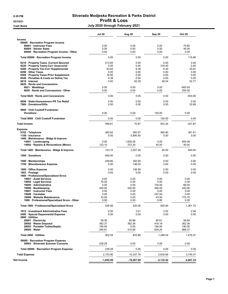#### 8:29 PM Silverado Modjeska Recreation & Parks District 03/10/21 **Profit & Loss** Cash Basis Cash Basis Cash Basis Cash Basis Cash Basis Cash Basis Cash Basis Cash Basis Cash Basis Cash Basis C

|                                                                             | <b>Jul 20</b>      | Aug 20             | Sep 20           | <b>Oct 20</b>    |
|-----------------------------------------------------------------------------|--------------------|--------------------|------------------|------------------|
| Income                                                                      |                    |                    |                  |                  |
| 60000 · Recreation Program Income                                           | 0.00               | 0.00               | 0.00             | 70.80            |
| 60001 · Instructor Fees<br>60005 · Sticker Sales                            | 0.00               | 0.00               | 0.00             | 45.00            |
| 60000 · Recreation Program Income - Other                                   | 0.00               | 0.00               | 0.00             | 0.00             |
| Total 60000 · Recreation Program Income                                     | 0.00               | 0.00               | 0.00             | 115.80           |
| 6210 · Property Taxes - Current Secured                                     | 413.65             | 0.00               | 0.00             | 0.00             |
| 6220 · Property Taxes-Curr Unsecured                                        | 0.00               | 0.00               | 318.40           | 0.00             |
| 6280 · Property Tax-Curr Supplemental                                       | 63.83              | 8.38               | 6.30             | 25.67            |
| 6290 Other Taxes                                                            | 0.00               | 0.00               | 0.00             | 0.00             |
| 6300 · Property Taxes-Prior Supplement                                      | 16.95              | 0.00               | 0.00             | 0.00             |
| 6540 · Penalties & Costs on Deling Tax<br>6610 · Interest                   | 4.38<br>0.00       | 0.00<br>62.29      | 0.00<br>58.54    | 0.00<br>52.77    |
| 6620 · Rents and Concessions                                                |                    |                    |                  |                  |
| $6621 \cdot W$ eddings                                                      | 0.00               | 0.00               | 0.00             | $-900.00$        |
| 6620 · Rents and Concessions - Other                                        | 0.00               | 0.00               | 0.00             | 350.00           |
| Total 6620 · Rents and Concessions                                          | 0.00               | 0.00               | 0.00             | $-550.00$        |
| 6690 · State-Homeowners PR Tax Relief                                       | 0.00               | 0.00               | 0.00             | 0.00             |
| 7960 Donations/Gifts                                                        | 0.00               | 0.00               | 0.00             | 33.89            |
| 9000 Chili Cookoff Fundraiser<br><b>Donations</b>                           | 0.00               | 0.00               | 120.00           | 0.00             |
| Total 9000 · Chili Cookoff Fundraiser                                       | 0.00               | 0.00               | 120.00           | 0.00             |
| <b>Total Income</b>                                                         | 498.81             | 70.67              | 503.24           | $-321.87$        |
| <b>Expense</b>                                                              |                    |                    |                  |                  |
| 0702 · Telephone                                                            | 360.62             | 360.57             | 360.80           | 361.41           |
| 1100 · Insurance                                                            | 0.00               | 5,890.50           | 0.00             | 0.00             |
| 1400 · Maintenance - Bldgs & Improvs                                        |                    |                    |                  |                  |
| $14001 \cdot$ Landscaping<br>14002 · Repairs & Renovations (Minor)          | 0.00<br>123.10     | 1,835.00<br>372.30 | 0.00<br>40.00    | 600.00<br>40.00  |
| Total 1400 · Maintenance - Bldgs & Improvs                                  | 123.10             | 2,207.30           | 40.00            | 640.00           |
| 1500 Donations                                                              | -450.00            | 0.00               | 0.00             | 0.00             |
| $1600 \cdot$ Memberships<br>1700 · Miscellaneous Expense                    | 449.80<br>0.00     | 350.00<br>136.00   | 0.00<br>0.00     | 0.00<br>0.00     |
|                                                                             |                    |                    |                  |                  |
| 1800 Office Expense<br>1803 · Postage                                       | 0.00<br>0.00       | 136.58<br>0.00     | 0.00<br>0.00     | 0.00<br>0.00     |
| 1900 · Professional/Specialized Srvcs                                       |                    |                    |                  |                  |
| 19001 · Audit Services                                                      | 0.00               | 0.00               | 0.00             | 0.00             |
| 19002 · Legal Services                                                      | 75.00              | 0.00               | 0.00             | 0.00             |
| 19005 · Administrative                                                      | 0.00               | 0.00               | 154.00           | 66.00            |
| 19006 · Bookkeeping                                                         | 420.00             | 420.00             | 490.00           | 420.00           |
| 19007 · Instructor Fees<br>19008 · Caretaker                                | 0.00<br>0.00       | 0.00<br>0.00       | 0.00<br>247.50   | 0.00<br>0.00     |
| 19009 · Website Maintenance                                                 | 33.00              | 0.00               | 43.50            | 775.75           |
| 1900 · Professional/Specialized Srvcs - Other                               | 0.56               | 0.00               | 0.80             | 0.00             |
| Total 1900 · Professional/Specialized Srvcs                                 | 528.56             | 420.00             | 935.80           | 1,261.75         |
| 1912 · Investment Administrative Fees<br>2400 · Special Deparmental Expense | 0.00<br>0.00       | 3.01<br>0.00       | 3.02<br>0.00     | 2.94<br>0.00     |
| 2800 · Utilities                                                            |                    |                    |                  |                  |
| 28001 · Electricity                                                         | 59.36              | 55.88              | 65.61            | 58.64            |
| 28002 · Waste Disposal                                                      | 362.37             | 362.36             | 416.19           | 362.36           |
| 28003 · Portable Toilets/Septic<br>$28005 \cdot Water$                      | 190.00<br>290.81   | 0.00<br>415.56     | 190.00<br>624.24 | 190.00<br>868.37 |
| Total 2800 · Utilities                                                      | 902.54             | 833.80             | 1,296.04         | 1,479.37         |
| 50000 · Recreation Program Expense                                          |                    |                    |                  |                  |
| 50003 · Silverado Summer Concerts                                           | 239.28             | 0.00               | 0.00             | 0.00             |
| Total 50000 · Recreation Program Expense                                    | 239.28<br>2,153.90 | 0.00               | 0.00<br>2,635.66 | 0.00             |
| <b>Total Expense</b>                                                        |                    | 10,337.76          |                  | 3,745.47         |
| Net Income                                                                  | $-1,655.09$        | -10,267.09         | -2,132.42        | -4,067.34        |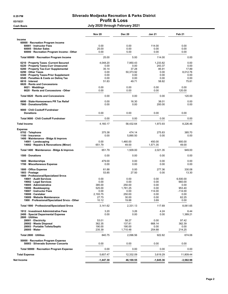#### 8:29 PM Silverado Modjeska Recreation & Parks District 03/10/21 **Profit & Loss** Cash Basis Cash Basis Cash Basis Cash Basis Cash Basis Cash Basis Cash Basis Cash Basis Cash Basis Cash Basis C

|                                                                                  | <b>Nov 20</b>    | <b>Dec 20</b>     | Jan 21             | Feb 21            |
|----------------------------------------------------------------------------------|------------------|-------------------|--------------------|-------------------|
| Income                                                                           |                  |                   |                    |                   |
| 60000 · Recreation Program Income                                                |                  |                   |                    |                   |
| 60001 · Instructor Fees                                                          | 0.00             | 0.00              | 114.00             | 0.00              |
| 60005 · Sticker Sales                                                            | 25.00            | 0.00              | 0.00               | 0.00              |
| 60000 · Recreation Program Income - Other                                        | 0.00             | 5.00              | 0.00               | 0.00              |
| Total 60000 · Recreation Program Income                                          | 25.00            | 5.00              | 114.00             | 0.00              |
| 6210 · Property Taxes - Current Secured                                          | 4,048.20         | 7,950.43          | 1,233.82           | 0.00              |
| 6220 · Property Taxes-Curr Unsecured                                             | 0.00             | 0.00              | 243.37             | 0.00              |
| 6280 · Property Tax-Curr Supplemental                                            | 35.14            | 37.28             | 85.91              | 17.89             |
| 6290 Other Taxes                                                                 | 0.00             | 50.373.92         | 0.00               | 8,012.76          |
| 6300 · Property Taxes-Prior Supplement<br>6540 · Penalties & Costs on Deling Tax | 0.00<br>0.00     | 0.00<br>0.00      | 0.00<br>0.00       | 0.00<br>0.00      |
| 6610 · Interest                                                                  | 51.83            | 49.71             | 58.82              | 75.81             |
| 6620 · Rents and Concessions                                                     |                  |                   |                    |                   |
| $6621 \cdot$ Weddings                                                            | 0.00             | 0.00              | 0.00               | 0.00              |
| 6620 · Rents and Concessions - Other                                             | 0.00             | 0.00              | 0.00               | 120.00            |
| Total 6620 · Rents and Concessions                                               | 0.00             | 0.00              | 0.00               | 120.00            |
| 6690 · State-Homeowners PR Tax Relief                                            | 0.00             | 16.30             | 38.01              | 0.00              |
| 7960 · Donations/Gifts                                                           | 0.00             | 0.00              | 200.00             | 0.00              |
| 9000 Chili Cookoff Fundraiser<br><b>Donations</b>                                | 0.00             | 0.00              | 0.00               | 0.00              |
| Total 9000 · Chili Cookoff Fundraiser                                            | 0.00             | 0.00              | 0.00               | 0.00              |
| <b>Total Income</b>                                                              | 4,160.17         | 58,432.64         | 1,973.93           | 8,226.46          |
|                                                                                  |                  |                   |                    |                   |
| <b>Expense</b><br>0702 · Telephone                                               | 375.38           | 474.14            | 275.83             | 385.70            |
| 1100 · Insurance                                                                 | 0.00             | 5,890.50          | 0.00               | 0.00              |
| 1400 · Maintenance - Bldgs & Improvs                                             |                  |                   |                    |                   |
| 14001 · Landscaping<br>14002 · Repairs & Renovations (Minor)                     | 0.00<br>651.79   | 1,460.00<br>49.00 | 450.00<br>1,571.35 | 900.00<br>49.00   |
|                                                                                  |                  |                   |                    |                   |
| Total 1400 · Maintenance - Bldgs & Improvs                                       | 651.79           | 1,509.00          | 2,021.35           | 949.00            |
| 1500 Donations                                                                   | 0.00             | 0.00              | 0.00               | 0.00              |
| 1600 · Memberships<br>1700 · Miscellaneous Expense                               | 479.00<br>0.00   | 0.00<br>0.00      | 0.00<br>0.00       | 0.00<br>0.00      |
|                                                                                  |                  |                   |                    |                   |
| 1800 Office Expense<br>1803 · Postage                                            | 61.88<br>53.85   | 0.00<br>27.50     | 277.36<br>0.00     | 330.08<br>13.30   |
| 1900 · Professional/Specialized Srvcs                                            |                  |                   |                    |                   |
| 19001 · Audit Services                                                           | 0.00             | 0.00              | 0.00               | 6,500.00          |
| 19002 · Legal Services                                                           | 0.00             | 0.00              | 0.00               | 660.00            |
| 19005 · Administrative                                                           | 385.00           | 250.00            | 0.00               | 0.00              |
| 19006 · Bookkeeping                                                              | 525.00           | 1,781.25          | 0.00               | 953.40            |
| 19007 · Instructor Fees<br>19008 · Caretaker                                     | 0.00<br>2,193.75 | 0.00<br>250.00    | 114.00<br>0.00     | $-114.00$<br>0.00 |
| 19009 · Website Maintenance                                                      | 27.75            | 30.00             | 0.00               | 62.25             |
| 1900 · Professional/Specialized Srvcs - Other                                    | 10.12            | 19.88             | 3.69               | 0.00              |
| Total 1900 · Professional/Specialized Srvcs                                      | 3,141.62         | 2,331.13          | 117.69             | 8,061.65          |
| 1912 · Investment Administrative Fees                                            | 3.20             | 3.26              | 4.24               | 6.44              |
| 2400 · Special Deparmental Expense                                               | 0.00             | 0.00              | 0.00               | 1,389.21          |
| 2800 · Utilities<br>28001 · Electricity                                          | 53.01            | 58.27             | 0.00               | 97.42             |
| 28002 · Waste Disposal                                                           | 362.35           | 137.81            | 668.14             | 362.39            |
| 28003 · Portable Toilets/Septic                                                  | 190.00           | 190.00            | 0.00               | 0.00              |
| 28005 · Water                                                                    | 235.39           | 1,710.48          | 254.68             | 214.25            |
| Total 2800 · Utilities                                                           | 840.75           | 2,096.56          | 922.82             | 674.06            |
| 50000 · Recreation Program Expense<br>50003 · Silverado Summer Concerts          | 0.00             | 0.00              | 0.00               | 0.00              |
| Total 50000 · Recreation Program Expense                                         | 0.00             | 0.00              | 0.00               | 0.00              |
| <b>Total Expense</b>                                                             | 5,607.47         | 12,332.09         | 3,619.29           | 11,809.44         |
| Net Income                                                                       | $-1,447.30$      | 46,100.55         | -1,645.36          | $-3,582.98$       |
|                                                                                  |                  |                   |                    |                   |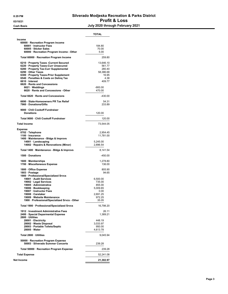#### 8:29 PM Silverado Modjeska Recreation & Parks District 03/10/21 **Profit & Loss** Cash Basis Cash Basis Cash Basis Cash Basis Cash Basis Cash Basis Cash Basis Cash Basis Cash Basis Cash Basis C

|                                                                                                                                                                                                                                                                                                                     | TOTAL                                                                                              |
|---------------------------------------------------------------------------------------------------------------------------------------------------------------------------------------------------------------------------------------------------------------------------------------------------------------------|----------------------------------------------------------------------------------------------------|
| Income<br>60000 · Recreation Program Income<br>60001 · Instructor Fees<br>60005 · Sticker Sales<br>60000 · Recreation Program Income - Other                                                                                                                                                                        | 184.80<br>70.00<br>5.00                                                                            |
| Total 60000 · Recreation Program Income                                                                                                                                                                                                                                                                             | 259.80                                                                                             |
| 6210 · Property Taxes -Current Secured<br>6220 · Property Taxes-Curr Unsecured<br>6280 · Property Tax-Curr Supplemental<br>6290 Other Taxes<br>6300 · Property Taxes-Prior Supplement<br>6540 · Penalties & Costs on Deling Tax<br>6610 · Interest<br>6620 · Rents and Concessions                                  | 13,646.10<br>561.77<br>280.40<br>58,386.68<br>16.95<br>4.38<br>409.77                              |
| 6621 · Weddings<br>6620 · Rents and Concessions - Other                                                                                                                                                                                                                                                             | $-900.00$<br>470.00                                                                                |
| Total 6620 · Rents and Concessions                                                                                                                                                                                                                                                                                  | -430.00                                                                                            |
| 6690 · State-Homeowners PR Tax Relief<br>7960 Donations/Gifts                                                                                                                                                                                                                                                       | 54.31<br>233.89                                                                                    |
| 9000 · Chili Cookoff Fundraiser<br><b>Donations</b>                                                                                                                                                                                                                                                                 | 120.00                                                                                             |
| Total 9000 · Chili Cookoff Fundraiser                                                                                                                                                                                                                                                                               | 120.00                                                                                             |
| <b>Total Income</b>                                                                                                                                                                                                                                                                                                 | 73,544.05                                                                                          |
| <b>Expense</b><br>0702 · Telephone<br>1100 · Insurance<br>1400 · Maintenance - Bldgs & Improvs                                                                                                                                                                                                                      | 2,954.45<br>11,781.00                                                                              |
| 14001 · Landscaping<br>14002 · Repairs & Renovations (Minor)                                                                                                                                                                                                                                                        | 5,245.00<br>2,896.54                                                                               |
| Total 1400 · Maintenance - Bldgs & Improvs                                                                                                                                                                                                                                                                          | 8,141.54                                                                                           |
| 1500 · Donations                                                                                                                                                                                                                                                                                                    | -450.00                                                                                            |
| 1600 · Memberships<br>1700 · Miscellaneous Expense                                                                                                                                                                                                                                                                  | 1,278.80<br>136.00                                                                                 |
| 1800 Office Expense<br>1803 · Postage<br>1900 · Professional/Specialized Srvcs<br>19001 · Audit Services<br>19002 · Legal Services<br>19005 · Administrative<br>19006 · Bookkeeping<br>19007 · Instructor Fees<br>19008 · Caretaker<br>19009 · Website Maintenance<br>1900 · Professional/Specialized Srvcs - Other | 805.90<br>94.65<br>6,500.00<br>735.00<br>855.00<br>5,009.65<br>0.00<br>2,691.25<br>972.25<br>35.U5 |
| Total 1900 · Professional/Specialized Srvcs                                                                                                                                                                                                                                                                         | 16,798.20                                                                                          |
| 1912 · Investment Administrative Fees<br>2400 · Special Deparmental Expense<br>2800 · Utilities<br>28001 · Electricity<br>28002 · Waste Disposal<br>28003 · Portable Toilets/Septic<br>28005 · Water                                                                                                                | 26.11<br>1,389.21<br>448.19<br>3,033.97<br>950.00<br>4,613.78                                      |
| Total 2800 · Utilities                                                                                                                                                                                                                                                                                              | 9,045.94                                                                                           |
| 50000 · Recreation Program Expense<br>50003 · Silverado Summer Concerts                                                                                                                                                                                                                                             | 239.28                                                                                             |
| Total 50000 · Recreation Program Expense                                                                                                                                                                                                                                                                            | 239.28                                                                                             |
| <b>Total Expense</b>                                                                                                                                                                                                                                                                                                | 52,241.08                                                                                          |
| Net Income                                                                                                                                                                                                                                                                                                          | 21,302.97                                                                                          |
|                                                                                                                                                                                                                                                                                                                     |                                                                                                    |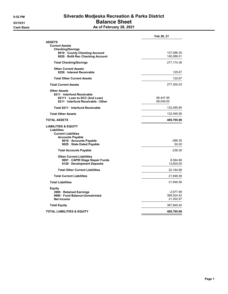### 8:52 PM Silverado Modjeska Recreation & Parks District 03/10/21 **Balance Sheet** Cash Basis **As of February 28, 2021**

|                                                                                                                | Feb 28, 21             |
|----------------------------------------------------------------------------------------------------------------|------------------------|
| <b>ASSETS</b>                                                                                                  |                        |
| <b>Current Assets</b>                                                                                          |                        |
| <b>Checking/Savings</b><br>8010 County Checking Account                                                        | 137,088.35             |
| 8020 BofA Rec Checking Account                                                                                 | 140,086.01             |
| <b>Total Checking/Savings</b>                                                                                  | 277,174.36             |
| <b>Other Current Assets</b>                                                                                    |                        |
| 8250 · Interest Receivable                                                                                     | 125.67                 |
| <b>Total Other Current Assets</b>                                                                              | 125.67                 |
| <b>Total Current Assets</b>                                                                                    | 277,300.03             |
| <b>Other Assets</b>                                                                                            |                        |
| 8211 Interfund Receivable                                                                                      |                        |
| 82111 · Loan to SCC (2nd Loan)<br>8211 · Interfund Receivable - Other                                          | 66,447.95<br>66,048.00 |
| Total 8211 · Interfund Receivable                                                                              | 132,495.95             |
| <b>Total Other Assets</b>                                                                                      | 132,495.95             |
| <b>TOTAL ASSETS</b>                                                                                            | 409,795.98             |
| <b>LIABILITIES &amp; EQUITY</b><br><b>Liabilities</b><br><b>Current Liabilities</b><br><b>Accounts Payable</b> |                        |
| 9010 · Accounts Payable                                                                                        | $-288.30$              |
| 9025 · Stale Dated Payable                                                                                     | 50.00                  |
| <b>Total Accounts Payable</b>                                                                                  | $-238.30$              |
| <b>Other Current Liabilities</b>                                                                               |                        |
| 9001 · CAPRI Stage Repair Funds                                                                                | 8,584.88               |
| 9120 · Development Deposits                                                                                    | 13,600.00              |
| <b>Total Other Current Liabilities</b>                                                                         | 22,184.88              |
| <b>Total Current Liabilities</b>                                                                               | 21,946.58              |
| <b>Total Liabilities</b>                                                                                       | 21,946.58              |
| <b>Equity</b>                                                                                                  |                        |
| 3900 · Retained Earnings                                                                                       | -2,977.99              |
| 9990 Fund Balance-Unrestricted                                                                                 | 369,524.42             |
| Net Income                                                                                                     | 21,302.97              |
| <b>Total Equity</b>                                                                                            | 387,849.40             |
| <b>TOTAL LIABILITIES &amp; EQUITY</b>                                                                          | 409,795.98             |
|                                                                                                                |                        |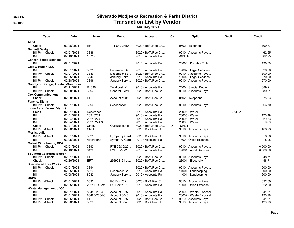## 8:35 PM Silverado Modjeska Recreation & Parks District 03/10/21 CONSERVITY CONTROLLING TRANSACTION LIST by Vendor

February 2021

| Type                                         | <b>Date</b> | <b>Num</b>        | Memo           | Account                  | Cir | <b>Split</b>                 | <b>Debit</b> | <b>Credit</b> |
|----------------------------------------------|-------------|-------------------|----------------|--------------------------|-----|------------------------------|--------------|---------------|
| AT&T                                         |             |                   |                |                          |     |                              |              |               |
| Check                                        | 02/26/2021  | <b>EFT</b>        | 714-649-2850   | $8020 \cdot$ BofA Rec Ch |     | 0702 · Telephone             |              | 109.87        |
| <b>Bennett Design</b>                        |             |                   |                |                          |     |                              |              |               |
| <b>Bill Pmt - Check</b>                      | 02/01/2021  | 3388              |                | 8020 · BofA Rec Ch       |     | 9010 · Accounts Paya         |              | 62.25         |
| Bill                                         | 02/10/2021  | 10752             |                | 9010 Accounts Pa         |     | -SPLIT-                      |              | 62.25         |
| <b>Canyon Septic Services</b>                |             |                   |                |                          |     |                              |              |               |
| Bill                                         | 02/01/2021  |                   |                | 9010 · Accounts Pa       |     | 28003 · Portable Toile       |              | 190.00        |
| Cole & Huber, LLC                            |             |                   |                |                          |     |                              |              |               |
| Bill                                         | 02/01/2021  | 36310             | December Se    | 9010 · Accounts Pa       |     | $19002 \cdot$ Legal Services |              | 390.00        |
| <b>Bill Pmt - Check</b>                      | 02/01/2021  | 3389              | December Se    | $8020 \cdot$ BofA Rec Ch |     | 9010 · Accounts Paya         |              | 390.00        |
| Bill                                         | 02/05/2021  | 36463             | January Servi  | 9010 · Accounts Pa       |     | 19002 · Legal Services       |              | 270.00        |
| <b>Bill Pmt - Check</b>                      | 02/28/2021  | 3396              | January Servi  | $8020 \cdot$ BofA Rec Ch |     | 9010 · Accounts Paya         |              | 270.00        |
| <b>County of Orange, Auditor -Controller</b> |             |                   |                |                          |     |                              |              |               |
| Bill                                         | 02/11/2021  | R <sub>1086</sub> | Total cost of  | 9010 · Accounts Pa       |     | 2400 · Special Depar         |              | 1,389.21      |
| <b>Bill Pmt - Check</b>                      | 02/28/2021  | 3397              | General Electi | $8020 \cdot$ BofA Rec Ch |     | 9010 · Accounts Paya         |              | 1,389.21      |
| <b>Cox Communications</b>                    |             |                   |                |                          |     |                              |              |               |
| Check                                        | 02/28/2021  | <b>EFT</b>        | Account #001   | $8020 \cdot$ BofA Rec Ch |     | $0702 \cdot$ Telephone       |              | 275.83        |
| Fanello, Diana                               |             |                   |                |                          |     |                              |              |               |
| <b>Bill Pmt - Check</b>                      | 02/01/2021  | 3390              | Services for   | $8020 \cdot$ BofA Rec Ch |     |                              |              | 966.70        |
|                                              |             |                   |                |                          |     | 9010 · Accounts Paya         |              |               |
| <b>Irvine Ranch Water District</b>           |             |                   |                |                          |     |                              |              |               |
| Credit                                       | 02/01/2021  | December          |                | 9010 · Accounts Pa       |     | $28005 \cdot Water$          | 754.37       |               |
| Bill                                         | 02/01/2021  | 20210201          |                | 9010 · Accounts Pa       |     | $28005 \cdot Water$          |              | 170.49        |
| Bill                                         | 02/24/2021  | 20210224          |                | 9010 Accounts Pa         |     | $28005 \cdot Water$          |              | 29.53         |
| Bill                                         | 02/24/2021  | 20210224 3        |                | 9010 · Accounts Pa       |     | $28005 \cdot Water$          |              | 9.66          |
| Check                                        | 02/27/2021  | <b>CREDIT</b>     | QuickBooks g   | $8020 \cdot$ BofA Rec Ch | X.  | -SPLIT-                      |              |               |
| <b>Bill Pmt - Check</b>                      | 02/28/2021  | <b>CREDIT</b>     |                | $8020 \cdot$ BofA Rec Ch |     | 9010 · Accounts Paya         |              | 468.93        |
| Morris, Julie                                |             |                   |                |                          |     |                              |              |               |
| <b>Bill Pmt - Check</b>                      | 02/01/2021  | 3391              | Sympathy Card  | $8020 \cdot$ BofA Rec Ch |     | 9010 · Accounts Paya         |              | 8.08          |
| Bill                                         | 02/05/2021  | Albertsons        | Sympathy Card  | 9010 · Accounts Pa       |     | 1800 Office Expense          |              | 8.08          |
| Robert W. Johnson, CPA                       |             |                   |                |                          |     |                              |              |               |
| <b>Bill Pmt - Check</b>                      | 02/01/2021  | 3392              | FYE 06/30/20   | $8020 \cdot$ BofA Rec Ch |     | 9010 · Accounts Paya         |              | 6,500.00      |
| Bill                                         | 02/10/2021  | 6130              | FYE 06/30/20   | 9010 · Accounts Pa       |     | 19001 · Audit Services       |              | 6,500.00      |
| Southern California Edison                   |             |                   |                |                          |     |                              |              |               |
| <b>Bill Pmt - Check</b>                      | 02/01/2021  | <b>EFT</b>        |                | 8020 · BofA Rec Ch       |     | 9010 · Accounts Paya         |              | 48.71         |
| Check                                        | 02/26/2021  | <b>EFT</b>        | 256998121 Ja   | 8020 · BofA Rec Ch       |     | $28001 \cdot$ Electricity    |              | 48.71         |
| <b>Specialized Tree Works</b>                |             |                   |                |                          |     |                              |              |               |
| <b>Bill Pmt - Check</b>                      | 02/01/2021  | 3394              |                | 8020 · BofA Rec Ch       |     | 9010 · Accounts Paya         |              | 900.00        |
| Bill                                         | 02/05/2021  | 8023              | December Se    | 9010 · Accounts Pa       |     | $14001 \cdot$ Landscaping    |              | 300.00        |
| Bill                                         | 02/08/2021  | 8082              | January Servi  | 9010 · Accounts Pa       |     | $14001 \cdot$ Landscaping    |              | 600.00        |
| <b>USPS</b>                                  |             |                   |                |                          |     |                              |              |               |
| <b>Bill Pmt - Check</b>                      | 02/01/2021  | 3395              | PO Box 2021    | $8020 \cdot$ BofA Rec Ch |     | 9010 · Accounts Paya         |              | 322.00        |
| Bill                                         | 02/05/2021  | 2021 PO Box       | PO Box 2021    | 9010 Accounts Pa         |     | 1800 Office Expense          |              | 322.00        |
| <b>Waste Management of OC</b>                |             |                   |                |                          |     |                              |              |               |
| Bill                                         | 02/01/2021  | 80489-2884-3      | Account 8-55   | 9010 · Accounts Pa       |     | 28002 · Waste Disposal       |              | 241.61        |
| Bill                                         | 02/01/2021  | 80483-2884-6      | Account 8048   | 9010 · Accounts Pa       |     | 28002 · Waste Disposal       |              | 120.78        |
| <b>Bill Pmt -Check</b>                       |             | <b>EFT</b>        | Account 8-55   | $8020 \cdot$ BofA Rec Ch | X.  |                              |              | 241.61        |
|                                              | 02/05/2021  |                   |                |                          |     | 9010 · Accounts Paya         |              |               |
| <b>Bill Pmt - Check</b>                      | 02/28/2021  | 3399              | Account 8048   | $8020 \cdot$ BofA Rec Ch |     | 9010 · Accounts Paya         |              | 120.78        |